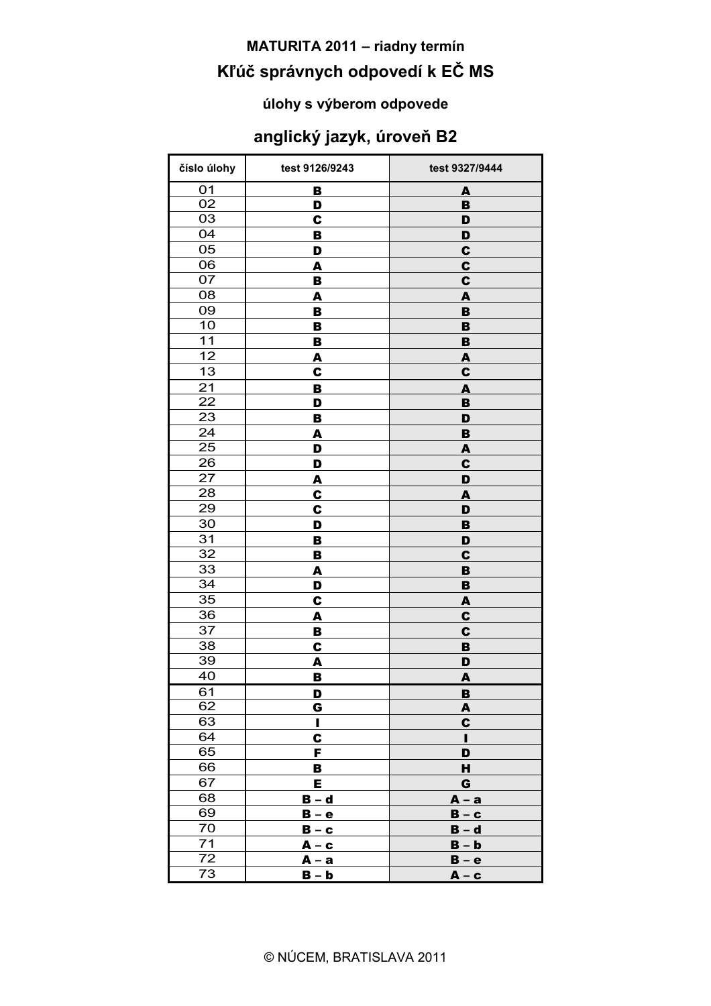# **MATURITA 2011 - riadny termín** Kľúč správnych odpovedí k EČ MS

#### úlohy s výberom odpovede

#### anglický jazyk, úroveň B2

| číslo úlohy | test 9126/9243 | test 9327/9444   |
|-------------|----------------|------------------|
| 01          | B              | A                |
| 02          | D              | B                |
| 03          | C              | D                |
| 04          | B              | D                |
| 05          | D              | $\mathbf c$      |
| 06          | A              | C                |
| 07          | в              | C                |
| 08          | A              | A                |
| 09<br>10    | B              | B                |
| 11          | В              | B                |
| 12          | B              | $\, {\bf B}$     |
| 13          | A<br>C         | A<br>$\mathbf c$ |
| 21          |                |                  |
| 22          | B<br>D         | A<br>B           |
| 23          | B              | D                |
| 24          | A              | $\, {\bf B}$     |
| 25          | D              | A                |
| 26          | D              | $\mathbf c$      |
| 27          | <u>А</u>       | D                |
| 28          | C              | A                |
| 29          | C              | D                |
| 30          | D              | $\, {\bf B}$     |
| 31          | B              | D                |
| 32          | B              | C                |
| 33          | A              | B                |
| 34          | D              | B                |
| 35          | C              | A                |
| 36          | A              | C                |
| 37          | в              | C                |
| 38          | C              | B                |
| 39          | A              | D                |
| 40          | B              | A                |
| 61          | <u>D</u>       | <u>B</u>         |
| 62<br>63    | G              | A                |
| 64          | I<br>C         | $\mathbf c$<br>н |
| 65          | F              | D                |
| 66          | в              | н                |
| 67          | Е              | G                |
| 68          | $B - d$        | $A - a$          |
| 69          | $B - e$        | $B - c$          |
| 70          | $B - c$        | $B - d$          |
| 71          | <u>А – с</u>   | $B - b$          |
| 72          | <u>A – a</u>   | <u>B – e</u>     |
| 73          | $B - b$        | $A - c$          |